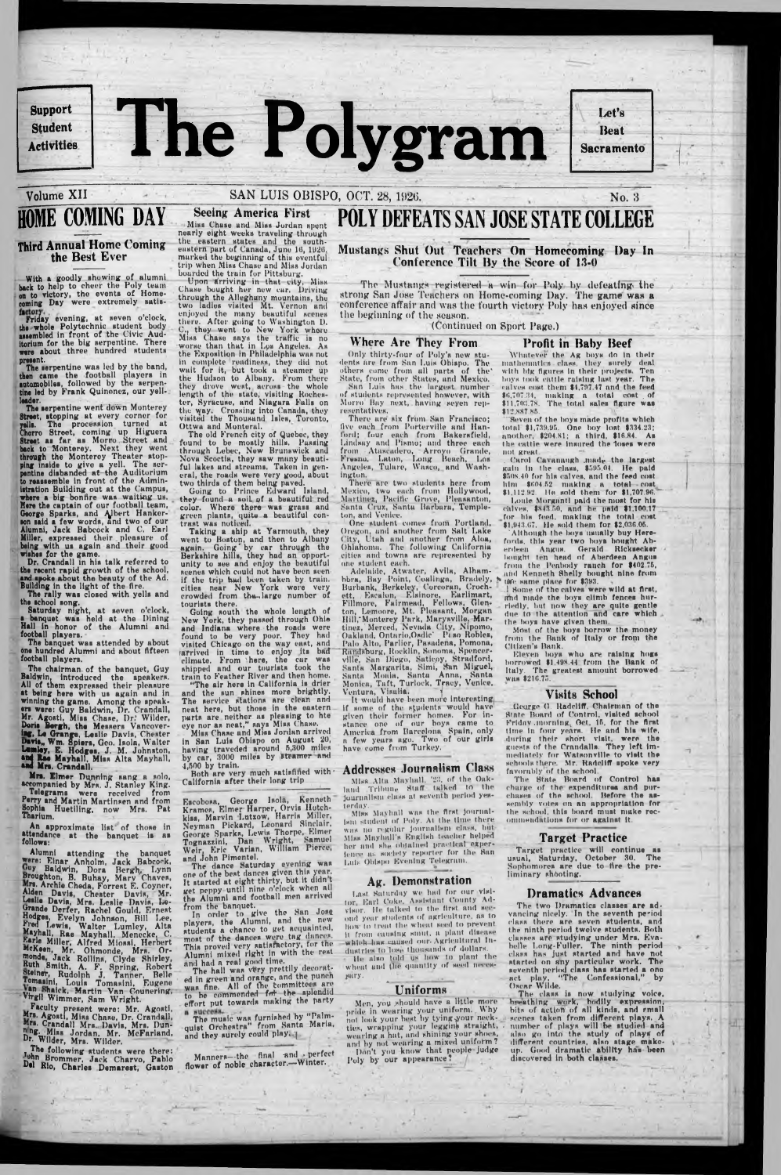**Beat Sacramento**

# **HOME COMING DAY Third Annual Home Coming the Best Ever**

With a goodly showing of alumni back to help to cheer the Poly team on to victory, the events of Homecoming Day were extremely satis-

Friday evening, at seven o'clock. the whole Polytechnic student body assembled in front of the Civic Auditorium for the big serpentine. There were about three hundred students present.

The serpentine was led by the band, then came the football players in automobiles, followed by the serpentine led by Frank Quinonez, our yell-

leader.<br>The serpentine went down Monterey Street, stopping at every corner for **yells.** The procession turned at<br>Chorro Street, coming up Higuera<br>Street as far as Mormo Street and<br>back to Monterey. Next they went orro Street, coming up Higuera est as far as Morno. Street and k to Monterey. Next they went through the Monterey Theater stopping inside to give a yell. The serpentine disbanded at the Auditorium to reassemble in front of the Administration Building out at the Campus, where a big bonfire was waiting us. Mere the captain of our football team, George Sparks, and Albert Hankerson said a few words, and two of our Alumni, Jack Babcock and C. Earl Miller, expressed their pleasure of being with us again and their good wishes for the game.

The rally was closed with yells and the school song.

Saturday night, at seven o'clock, a banquet was held at the Dining Hall in honor of the Alumni and football players.

An approximate list of those in attendance at the banquet is as follows:

Alumni attending the banquet were: Einar Anholm, Jack Babcock, 'uv Baldwin, Dora Bergfy- Lynn Broughton, B. Buhay, Mary Chaves, **Mrs. Archie Cheda, Forrest E. Coyner,<br>Alden Davis, Chester Davis, Mr.** Leslie Davis, Mrs. Leslie Davis, Le-Grande Derfer, Rachel Gould. Ernest Hodges, Evelyn Johnson, Bill Lee, Fred Lewis, Walter Lumley, Alta Mayhall, Rae Mayhall, Menecke, C. Ksrle Miller, Alfred Miossi, Herbert McKeen, Mr. Ohmonde, Mrs. Or-monde Jack Rollins, Clyde Shirley, Ruth Smith, A. F. Spring, Robert Steiner, Rudolph J, Tanner, Belle lomasini, Louts Tomasini, Eugene van Shaick, Martin Van Counering,<br>Virgil Wimmer, Sam Wright. Faculty present were: Mr. Agosti, Mrs. Agosti, Miss Chase, Dr. Crandall, Mrs. Crandall Mrs.,Davis, Mrs. Dun ning, Miss Jordan, Mr. McFarland, Dr. Wilder, Mrs. Wilder.

Dr. Crandall in his talk referred to the recent rapid growth of the school, and spoke about the beauty of the Ad. Building in the light of the fire.

The banquet was attended by about one hundred Alumni and about fifteen football players.

### Miss Chase and Miss Jordan spent nearly eight weeks traveling through the eastern states and the southeastern part of Canada, June 16, 1926. murked the beginning of this eventful trip when Miss Chase and Miss Jordan

boarded the train for Pittsburg. Upon arriving in that city, Miss Chase bought her new cur. Driving through the Alleghany mountains, the two ladies visited Mt. Vernon and enjoyed the many beautiful scenes there. After going to Washington D. C.j they went to New York whore Miss Chase says the truffic is no worse than that in Lps Angeles. As the Exposition in Philadelphia was not in complete readiness, they did not wait for it, but took a steamer up the Hudson to Albuny. From there they drove west, ucross the whole length of the state, visiting Rochester, Syracuse, and Niagara Falls on the way. Crossing into Canada, they visited the Thousund Isles, Toronto, Ottwa and Monteral.

The chairman of the banquet, Guy Baldwin, introduced the speakers. All of them expressed their pleasure at being here with us again and in winning the game. Among the speakers were: Guy Baldwin, Dr. Crandall, Mr. Agosti, Miss Chase, Dr.' Wilder, Doris Bergh, the Messers Vancovering, Le Grange. Leslie Davis, Chester Davis, Wm. Spiers, Geo. Isola, Walter Lumley, E. Hodges, J. M. Johnston, **and Rae Mayhall, Miss Alta Mayhall,<br><b>and Mrs. Crandall.**<br>**Mrs. Elmer** Dunning sang a solo, Mrs. Crandall.

Mrs. Elmer Dinning sang a solo, accompanied by Mrs. J. Stanley King. Telegrams were received from Perry and Martin Martinsen and from Sophia Huetiling, now Mrs. Pat Thsrium.

The old French city of Quebec, they found to be mostly hills. Pussing through Lebec, New Brunswick and Novu Scoctia, they saw many beautiful lakes und streums. Taken in general, the roads were very good, ubout two thirds of them being puved.

Going to Prince Edward Island, they found a soil of a beautiful red color. Where there was grass and green plants, quite a beautiful contrast was noticed.

Miss Chase and Miss Jordan arrived in San Luis Obispo on August 20, having traveded around 5,300 miles by car, 3000 miles by Eteamer and

4,500 by train.<br>Both are very much satisfined with-California after their long trip

The Mustangs registered a win for Poly by defeating the **strong San Jose Teachers on Home-coming Day. The game was a conference affair nnd was the fourth victory Poly has enjoyed since the beginning of the season.**

# **Support Student Support Student The Polygram** Beat Volume XII SAN LUIS OBISPO, OCT. 28, 1926.

# **Seeing America First**

Adelaide, Atwater, Avila, Alhamhbra, Bay Point, Coalingu, Bradely, & Burbank, Berkeley, Corcoran, Crochett, Escalon, Elsinore. Earlimart, Fillmore, Fairmead, Fellows, Glenton, Lemoore, Mt. Pleasant, Morgan Hill,'Monterey Pnrk, Marysville. Martinez,'Merced, Nevada City, Nipomo, Oakland, Ontario,Osdlc' Pi so Robles, Palo Alto, Parlier, Pasadena, Pomona, "RandEburg, Rocklin, Sonoma, Spencerville, San Diego, Saticoy, Stradford, Santa Margarita, Simi, San Miguel, Santa Moaia, Santa Anna, Santa Monica, Taft, Turlock, Tracy, Venice, Ventura, Visalia.

It would have been more interesting if some of the students would have given their former homes. For instance one of our boys enme to America from Barcelona Spuin, only a few yeurs ago. Two of our girls have come from Turkey.

Last Saturday we had for our visitor Ear! Coke, Assistant County Advisor. He talked to the first and second year students of agriculture, ns to how lo treat the wheat seed to prevent It from causing smut, a plant disease which has caused our-Agricultural Industries to lose thousands of dollars. He also told us how to plant the wheat and the quantity of seed necesjmry. ^

Taking a ship at Yarmouth, they went to Boston, und then to Albuny again. Going by car through the Berkshire hills, they had an opportunity to see and enjoy the beautiful scenes which could not have been seen if the trip had been taken by. truin. cities near New York were very crowded from thw-. largo number of tourists there.

> Men, you should have a little more pride in wearing your uniform. Why not look your best by tying your neckties, wrspping your legging straight, wearing a hat, and shining your shoes, and by not wearing a mixed uniform? Don't you know that people judge Poly by our appearance?

**Profit in Baby Beef** Whatever the Ag boys do in their mathematics class, they surely deal with big figures in their projects. Ten hoys took cattle raising lust year. The calves cost them \$4,797.47 and the feed \$•1,707.34. making a total cost . of \$11,703.78. The total sales figure was

Going south the whole length of New York, they passed through Ohia and Indiana where the roads were found to be very poor. They had visited Chicago on the wuy east, and (arrived in time to enjoy jts bad climute. From 'here, the car was shipped and our tourists took the train to Feather River and then home.

. Carol Cavanaugh .made the largest guln In the class. \$595.04. He paid I50N.40 for Ills culves, and the feed cost him \$604.52 making a total cost, \$1,112.92. He sold them for \$1,707.96. Louie Morgantl paid the most for his calves, \$843.50, and he paid \$1,100.17 for his feed, making the total cost

\$1,043.07. He sold them for \$2,030.05. Although the boys usually buy Herefords, this year two hoys bought Aberdeen Angus. Gerald Ricksecker • bought ten head of Aberdeen Angus from the Peabody ranch for \$402 76, and Kenneth Shelly bought nine from tilfe same place for \$393.

"The air here in California is drier and the sun shines more brightly. The service stations are clean and neat here, but those in the eastern parts are neither as pleasing to hte eye nor as neat," says Miss Chase.

# **POLY DEFEATS SAN JOSE STATE COLLEGE**

**M ustangs Shut Out Teachers On Homecoming Day In Conference Tilt By the Score of 13-0**

> George G. Radcliff. Chairman of the State Board of Control, visited school Erldav .morning, Oct, 15, for the first time in four years. He and his wife, •luring their short visit, were the guests of the Crnndalls. They left Immediately for Watsonville to visit the schools there. Mr. Radeliff spoke very favorably of the school.

> usual, Saturday, October 30. The Sophomores are due to fire the preliminary shooting.

**(Continued on Sport Page.)**

Escobosa, George Isola, Kenneth Krames, Elmer Harper, Orvis Hotchkiss, Marvin Lutzow, Harris Miller, Neyman Pickard, Leonard Sinclair, George Spurks, Lewis Thorpe, Elmer Tognazzini, Dan Wright, Samuel Weir, Eric Varian, William Pierce, and John Pimentel. The dance Saturday evening was one of the best dances given this year. It started at eight thirty, but it didn't get peppy until nine o'clock when al the Alumni and football men arrived from the banquet. In order to give the San Jose players, the Alumni, nnd the new students a chance to get acquainted, most of the dances were tag dances. This proved very satisfactory, for the Alumni mixed right in with the rest and had a real good time.<br>The hall was very prettily decorated in green and orange, nnd the punen was fine. All of the committees are to be commended for the splendid effort put towards making the party

Manners—the final -and .perfect flower of noble character.—Winter.

lence as society reporter for the San Luis Obispo Evening Telegram.<br>-

# **Where Are They From**

Only thirty-four of Poly's new students are from San I.uis Obispo. The others come from all parts of the State, from other States, und Mexico. San Luis has the largest number of students represented however, with Morro Hay next, having soyen representatives,

There are six from San Francisco; five each from Porterville and Hunlord; four each from Bakersfield, Lindsay and Pismo; and three each from Atascadero, Arroyo Grande, Fresno, Laton, Long Beach, Los Angeles, Tulare, Wasco, and Washington.

There **h)'<sup>o</sup>** two students hero from Mexico, two each from Hollywood, Martinez, Pacific Grove, Pleasanton, Santa Cruz, Santa Barbara, Templeton, and Venice.

One student comes from Portland, Oregon, und another from Salt Lake City, Utah and another from Aloa, Ohlahoma. The following California cities and towns are represented by one student each.

# **Addresses Journalism Class**

MU& Altu Mayhall, '211. of the Oakland Tribune Staff talked to the journalism class at seventh period yes-

terday. Miss Mavhall was the first Journalism student of Poly. At the time there was no regular Journalism clnsa, but Miss MnyhaH's English teacher helped her und she obtained prnctlent etper-

# **Ak- Demonstration**

# **\_^Uniforms**

I12.NST.K5. \ "Seven of the hoys made profits which total \$1,739,95. One hoy lost \$334.23; another, \$204.Kt; n third, \$1B.S4. As the cattle were Insured the loses were not great.

.1 Some of the rnlves were wild at first, mid made the boys climb fences hurriedly, but now they are quite gentle due to the attention and care which the hoys have given them.

Most of the boys borrow the money from the Bank of Italy or from the Citizen's Hank.

Eleven hoys who are raising hogs borrowed \$1.49K.44 from the Bank of Italy. The greatest amount borrowed was \$210.75.

# **Visits School**

The State Board of Control has charge of the expenditures and purchases of the school. Before the assembly votes on an appropriation for the school, this hoard must make recommendations for or against It.

# **Target Practice**

Target practice will continue as

The following students were there: wonn Brommer, Jack Charvo, Pablo Del Rio, Charles Demarest, Gaston

# **Dramatics Advances**

The two Dramatics classes are advancing nicely. In the seventh period class there are seven students, and the **ninth** period twelve students. Both classes are studying under Mrs. Evnhelle Long-Fuller. The ninth period class has just started and have not started on any particular work. The seventh period class has started a one act play, "The Confessional,'' by Oscar Wilde.

The class is now studying voice, heathing work, bodily expression, bits of action of all kinds, and small scenes taken from different plays, A . number of plays will be studied and also go into the study of plays of different countries, also stage miikeup. Good dramatic ability has been discovered in both classes.

*J*

The music was furnished by "Palmquist Orchestra" from Santa Maria, and they surely could play.  $\dagger$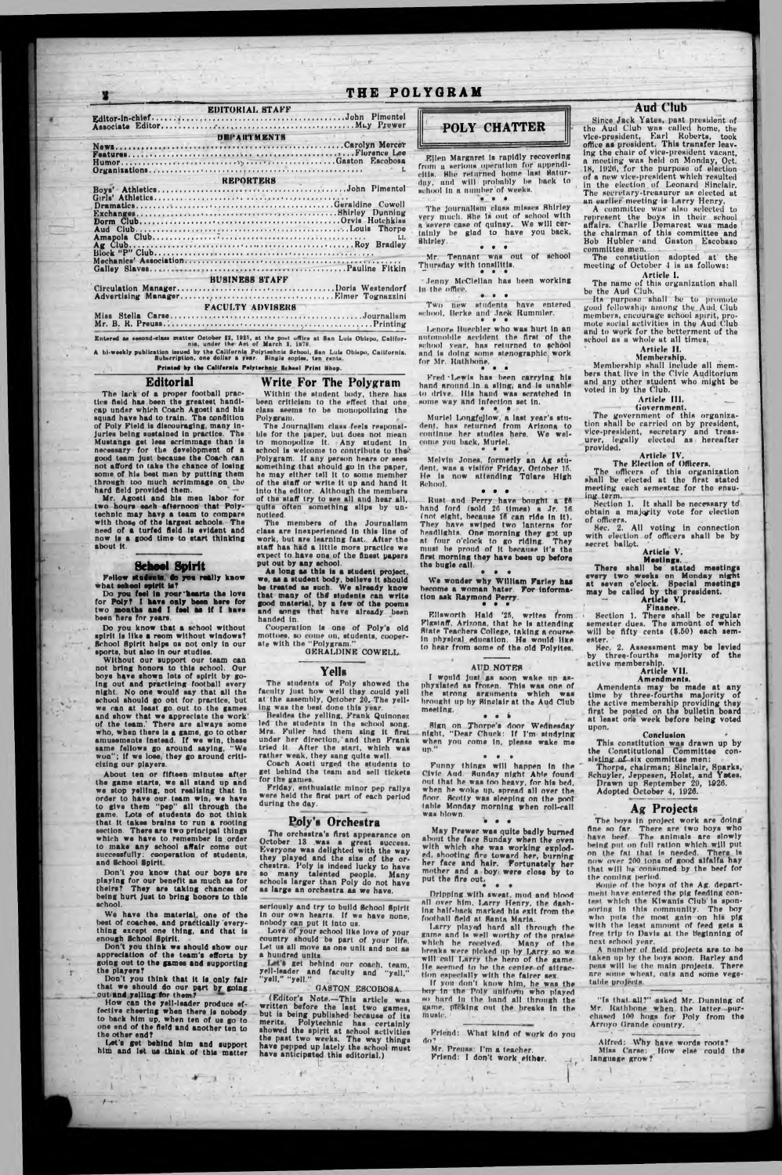# THE POLYGRAM

| EDITORIAL STAFF                                                                                  |                                           |
|--------------------------------------------------------------------------------------------------|-------------------------------------------|
|                                                                                                  |                                           |
|                                                                                                  |                                           |
| <b>DEPARTMENTS</b>                                                                               | $\sim$ $\sim$ $\sim$ $\sim$ $\sim$ $\sim$ |
|                                                                                                  |                                           |
|                                                                                                  |                                           |
|                                                                                                  |                                           |
|                                                                                                  |                                           |
|                                                                                                  | $\blacksquare$                            |
| <b>REPORTERS</b>                                                                                 |                                           |
|                                                                                                  |                                           |
|                                                                                                  |                                           |
|                                                                                                  |                                           |
|                                                                                                  |                                           |
|                                                                                                  |                                           |
|                                                                                                  |                                           |
|                                                                                                  | LL                                        |
|                                                                                                  |                                           |
|                                                                                                  |                                           |
|                                                                                                  |                                           |
|                                                                                                  |                                           |
|                                                                                                  |                                           |
| <b>BUSINESS STAFF</b>                                                                            |                                           |
|                                                                                                  |                                           |
|                                                                                                  |                                           |
| <b>FACULTY ADVISERS</b>                                                                          |                                           |
|                                                                                                  |                                           |
|                                                                                                  |                                           |
|                                                                                                  |                                           |
| Entered as second-class matter October 22, 1925, at the post office at San Luis Obispo, Califor- |                                           |

nia, under the Act of March 3, 1879,

A bi-weekly publication issued by the California Polytechnic School, San Luis Oblapo, California.<br>Subscription, one dollar a year. Single copies, ten cents. Printed by the California Polytochnic Echool Print Shop.

# **Editorial**

The lack of a proper football practice field has been the greatest handi-<br>cap under which Coach Agosti and his<br>squad have had to train. The condition of Poly Field is discouraging, many injuries being sustained in practice. The Mustangs get less scrimmage than is<br>necessary for the development of a good team just because the Coach can not afford to take the chance of losing some of his best men by putting them through too much scrimmage on the hard field provided them.

Mr. Agosti and his men labor for<br>two hours each afternoon that Polytechnic may have a team to compare with those of the largest schools. The need of a turfed field is evident and now is a good time to start thinking about it.

# **School Spirit**

Fellow students, do you really know<br>what school spirit is?<br>Do you feel in your hearts the love<br>for Poly? I have only been here for<br>two months and I feel as if I have been here for years.

Do you know that a school without spirit is like a reom without windows? School Spirit helps as not only in our sports, but also in our studies.

Without our support our team can not bring honors to this school. Our boys have shown lots of spirit by going out and practicing football every night. No one would say that all the school should go out for practice, but we can at least go out to the games and show that we appreciate the work's of the team.' There are always some who, when there is a game, go to other amusements finded. If we win, these same fellows go around saying. "We won"; if we lose, they go around criticizing our players.

About ten or fifteen minutes after the game starts, we all stand up and we stop yelling, not realising that in order to have our team win, we have<br>to give them "pep" all through the<br>game. Lots of students do not think that it takes brains to run a rooting section. There are two principal things which we have to remember in order to make any senool affair come out successfully: cooperation of students, and School Spirit.

Write For The Polygram Within the student body, there has been criticism to the effect that one class seems to be monopolizing the Polygram.

The Journalism class feels responsible for the paper, but does not mean to monopolize it. Any student in school is welcome to contribute to the Polygram. If any person hears or sees something that should go in the paper, he may either tell it to some member of the staff or write it up and hand it<br>into the editor. Although the members of the staff try to see all and hear all. quite often something slips by unnotieed.

The members of the Journalism class are inexperienced in this line of work, but are learning fast. After the staff has had a little more practice we expect to have one of the finest papers put out by any school.

put out by any school.<br>
As long as this is a student project,<br>
As a student body, believe it should<br>
be treated as such. We already know<br>
that many of the students can write<br>
good material, by a few of the poems<br>
and songs handed in.

Cooperation is one of Poly's old mottoes, so come on, students, cooperate with the "Polygram.

GERALDINE COWELL.

### Yells

The students of Poly showed the faculty just how well they could yell<br>at the assembly, October 20. The yell-

ing was the best done this year.<br>Besides the yelling, Frank Quinonez<br>led the students in the school song.<br>Mrs. Fuller had them sing it first. under her direction, and then Frank tried it. After the start, which was rather weak, they sang quite well.

Coach Aosti urged the students to<br>get behind the team and sell tickets for the games.

Friday, enthusiatic minor pep rallys were held the first part of each period during the day.

# Poly's Orchestra

The orchestra's first appearance on October 13 was a great success.<br>Everyone was delighted with the way

# POLY CHATTER

Ellen Margaret is rapidly recovering from a serious operation for appendicitis. She returned home last Saturday, and will probably be back to<br>school in a number of weeks.

The journalism class misses Shirley very much. She is out of school with<br>a severe case of quinsy. We will certainly<br>taility be glad to have you back, Shirley.

Mr. Tennant was out of school Thursday with tonsilitis.

Jenny McClellan has been working<br>in the office.

 $- 0 1$ 

Two new students have entered school, Berke and Jack Rummler.

Lenore Buechler who was hurt in an automobile accident the first of the school year, has returned to school and is doing some stenographic work and is come to the for Mr. Rathbone.

Fred Lewis has been carrying his hand around in a sling; and is unable-<br>to drive. His hand was scratched in some way and infection set in.

Muriel Longfellow, a last year's student, has returned from Arizona to continue her studies here. We welcome you back, Muriel.

Melvin Jones, formerly an Ag stu-<br>dent, was a visitor Friday, October 15. He is now attending Tulare High School.

Rust and Perry have bought a 26<br>hand ford (sold 26 times) a Jr. 16<br>(not eight, because 16 can ride in it). They have swiped two lanterns for headlights. One morning they got up<br>at four o'clock to go riding. They<br>must be proud of it because it's the first morning they have been up before the bugle call.

# $\bullet$

We wonder why William Farley has become a woman hater. For information ask Raymond Perry.

Ellsworth Hald '25, writes from<br>Figstaff, Arizona, that he is attending State Teachers College, taking a course in physical education. He would like to hear from some of the old Polyites.

# AUD NOTES

I would just as soon wake up asphyxiated as frozen. This was one of<br>the strong arguments which was<br>brought up by Sinclair at the Aud Club meeting.

 $\bullet\bullet\bullet$ 

Sign on Thorpe's door Wednesday<br>night, "Dear Chuck: If I'm studying when you come in, please wake me  $\mathbf{u}$ 

Funny things will happen in the Civic Aud. Sunday night Able found<br>out that he was too heavy, for his bed, when he woke up, spread all over the floor. Scotty was sleeping on the pool table Monday morning when roll-call was blown.

May Prewer was quite badly burned<br>about the face Sunday when the oven<br>about this his was working evolved. vith which she was working exploded, shooting fire toward her, burning her face and hair. Fortunately her mother and a boy were close by to put the fire out,

## **Aud Club**

Since Jack Yates, past president of<br>the Aud Club was called home, the<br>vice-president, Earl Roberts, took<br>office as president. This transfer leaving the chair of vice-president vacant, a meeting was held on Monday, Oct. 18, 1926, for the purpose of election of a new vice-president which resulted<br>in the election of Leonard Sinclair. The secretary-treasurer as elected at<br>an earlier meeting is Larry Henry.

an extractmenties was also selected to<br>represent the boys in their school<br>affairs. Charlie Demarest was made<br>the chairman of this committee and<br>Bob Hubler and Gaston Escobaso committee men.

The constitution adopted at the<br>meeting of October 4 is as follows:

Article 1.

The name of this organization shall be the Aud Club.

Its purpose shall be to promote<br>good fellowship among the Aud Club members, encourage school spirit, promote social activities in the Aud Club<br>and to work for the betterment of the school as a whole at all times.

### Article II.

Membership.<br>Membership shall include all members that live in the Civic Auditorium<br>and any other student who might be voted in by the Club.

# Article III.

Government.<br>The government of this organization shall be carried on by president, vice-president, secretary and treasurer, legally elected as hereafter provided.

### Article IV The Election of Officers.

The officers of this organization<br>shall be elected at the first stated meeting each semester for the ensuing term.

Section 1. It shall be necessary to obtain a majority vote for election of officers.

Sec. 2. All voting in connection with election of officers shall be by secret ballot.

secret ballot.<br> **Article V.**<br> **Meetings.**<br>
There shall be stated meetings<br>
every two weeks on Monday night<br>
at seven o'clock. Special meetings<br>
may be called by the president.<br>
Article VI.<br>
Finally the Martings

# Finance.

Section 1. There shall be regular<br>semester dues. The amount of which<br>will be fifty cents (\$.50) each semester.

Sec. 2. Assessment may be levied<br>y three-fourths majority of the by active membership.<br>Article VII.

### Amendments.

Amendents may be made at any<br>time by three-fourths majority of<br>the active membership providing they<br>first be posted on the bulletin board<br>at least one week before being voted upon.

### Conclusion

This constitution was drawn up by<br>the Constitutional Committee consisting of six committee men:

Thorpe, chairman; Sinclair, Sparks,<br>Schuyler, Jeppesen, Holst, and Ystes.<br>Drawn up September 29, 1926.<br>Adopted October 4, 1926.

# Ag Projects

The boys in project work are doing fine so far. There are two boys who<br>have beef. The animals are slowly<br>being put on full ration which will put

Don't you know that our boys are playing for our benefit as much as for theirs? They are taking chances of being hurt just to bring honors to this school.

We have the material, one of the best of coaches, and practically everything except one thing, and that is

enough School Spirit.<br>
Don't you think we should show our<br>
appreciation of the team's efforts by<br>
going out to the games and supporting the players?

Don't you think that it is only fair that we should do our part by going out and yelling for them?

How can the yell-leader produce effective cheering when there is nobody to back him up, when ten of us go to one end of the field and another ten to the other end?

Let's get behind him and support<br>him and let us think of this matter

 $+ -1$ 

 $21.1$ 

 $A = 21$ 

they played and the size of the orchestra. Poly is indeed lucky to have so many talented people. Many schools larger than Poly do not have as large an orchestra as we have.

seriously and try to build School Spirit in our own hearts. If we have none, nobody can put it into us.

Love of your school like love of your country should be part of your life. Let us all move as one unit and not as a hundred units

Let's get behind our coach, team, yell-leader and faculty and "yell," "yell," "yell."

GASTON ESCOBOSA.

(Editor's Note.-This article was written before the last two games, but is being published because of its<br>merits. Polytechnic has certainly showed the spirit at school activities<br>the past two weeks. The way things<br>have pepped up lately the school must have anticipated this editorial.)

Dripping with sweat, mud and blood all over him. Larry Henry, the dashing half-back marked his exit from the football field at Santa Maria.

Larry played hard all through the<br>game and is well worthy of the praise<br>which he received. Many of the<br>breaks were pleked up by Larry so we will call Larry the hero of the game. He seemed to be the center of attraction especially with the fairer sex.

If you don't know him, he was the<br>boy in the Poly uniform who played so hard in the band all through the game, pleking out the breaks in the muste.

Friend: What kind of work do you  $d\alpha$ 

Mr. Preuss: I'm a teacher. Friend: I don't work either. on the fat that is needed. There is<br>now over 200 tons of good alfalfa hay that will be consumed by the beef for the coming period.

Souje of the boys of the Ag. department have entered the pig feeding contest which the Kiwanis Club' is sponsoring in this community. The boy who puts the most gain on his pig the least amount of feed gets a with free trip to Davis at the beginning of next school year.

A number of field projects are to be<br>taken up by the boys soon. Barley and peas will be the main projects. There are some wheat, oats and some vegetable projects.

"Is that all?" asked Mr. Dunning of Mr. Rathbone when the latter purchased 100 hogs for Poly from the Arroyo Grande country.

Alfred: Why have words roots? Miss Carne: How eine could the language grow?

 $\vert$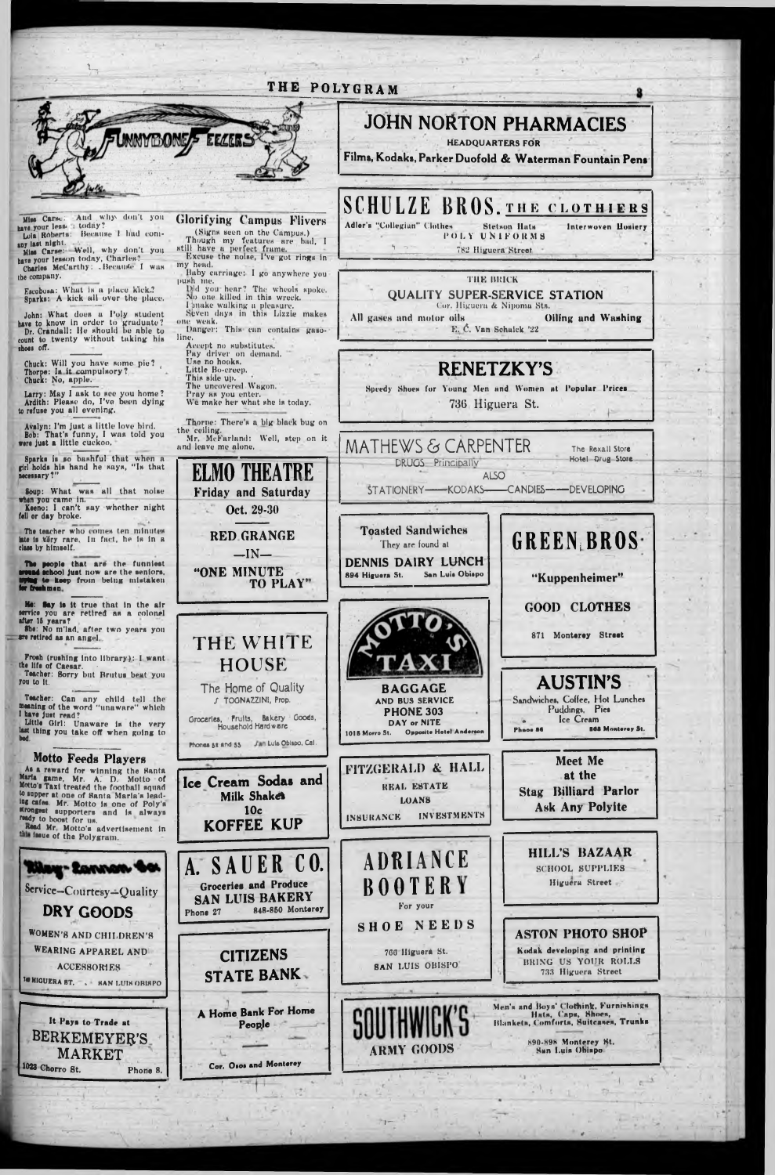

this issue of the Polygram.